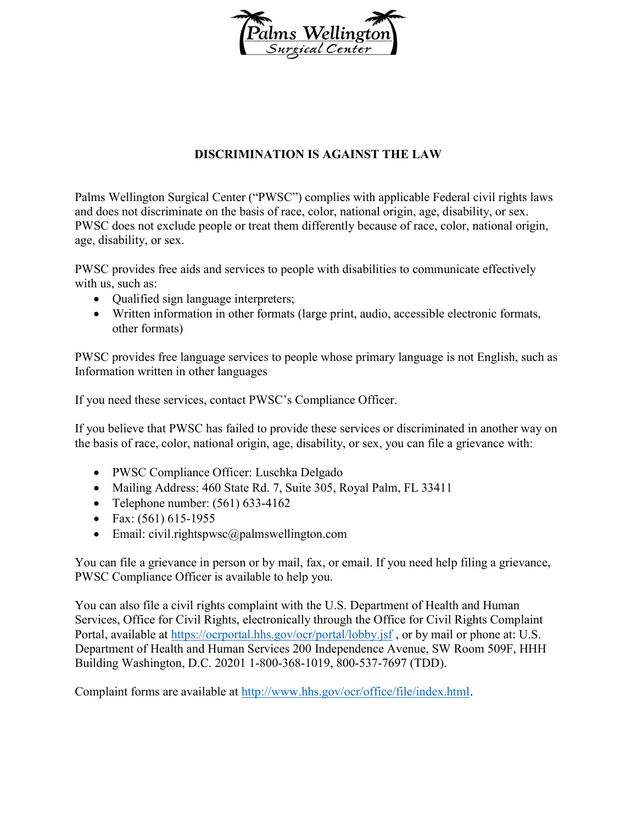

## DISCRIMINATION IS AGAINST THE LAW

Palms Wellington Surgical Center ("PWSC") complies with applicable Federal civil rights laws and does not discriminate on the basis of race, color, national origin, age, disability, or sex. PWSC does not exclude people or treat them differently because of race, color, national origin, age, disability, or sex.

PWSC provides free aids and services to people with disabilities to communicate effectively with us, such as:

- Qualified sign language interpreters;
- Written information in other formats (large print, audio, accessible electronic formats, other formats)

PWSC provides free language services to people whose primary language is not English, such as Information written in other languages

If you need these services, contact PWSC's Compliance Officer.

If you believe that PWSC has failed to provide these services or discriminated in another way on the basis of race, color, national origin, age, disability, or sex, you can file a grievance with:

- PWSC Compliance Officer: Luschka Delgado
- Mailing Address: 460 State Rd. 7, Suite 305, Royal Palm, FL 33411
- Telephone number:  $(561)$  633-4162
- Fax:  $(561)$  615-1955
- Email: civil.rightspwsc@palmswellington.com

You can file a grievance in person or by mail, fax, or email. If you need help filing a grievance, PWSC Compliance Officer is available to help you.

You can also file a civil rights complaint with the U.S. Department of Health and Human Services, Office for Civil Rights, electronically through the Office for Civil Rights Complaint Portal, available at https://ocrportal.hhs.gov/ocr/portal/lobby.jsf, or by mail or phone at: U.S. Department of Health and Human Services 200 Independence Avenue, SW Room 509F, HHH Building Washington, D.C. 20201 1-800-368-1019, 800-537-7697 (TDD).

Complaint forms are available at http://www.hhs.gov/ocr/office/file/index.html.